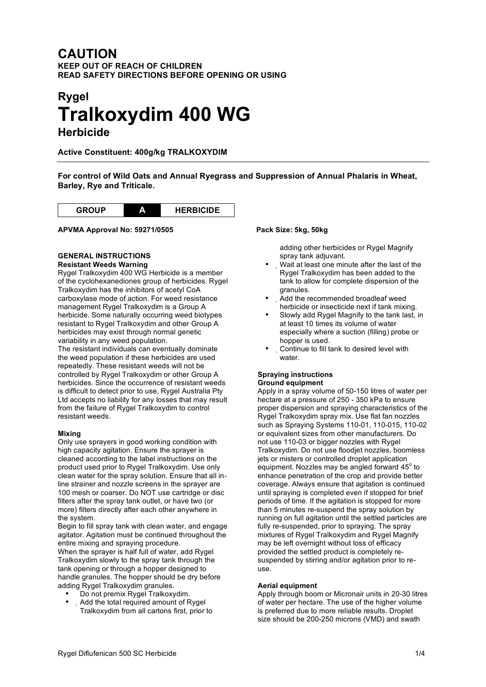## **CAUTION KEEP OUT OF REACH OF CHILDREN READ SAFETY DIRECTIONS BEFORE OPENING OR USING**

# **Rygel Tralkoxydim 400 WG Herbicide**

**Active Constituent: 400g/kg TRALKOXYDIM**

**For control of Wild Oats and Annual Ryegrass and Suppression of Annual Phalaris in Wheat, Barley, Rye and Triticale.**



**APVMA Approval No: 59271/0505 Pack Size: 5kg, 50kg**

#### **GENERAL INSTRUCTIONS Resistant Weeds Warning**

Rygel Tralkoxydim 400 WG Herbicide is a member of the cyclohexanediones group of herbicides. Rygel Tralkoxydim has the inhibitors of acetyl CoA carboxylase mode of action. For weed resistance management Rygel Tralkoxydim is a Group A herbicide. Some naturally occurring weed biotypes resistant to Rygel Tralkoxydim and other Group A herbicides may exist through normal genetic variability in any weed population.

The resistant individuals can eventually dominate the weed population if these herbicides are used repeatedly. These resistant weeds will not be controlled by Rygel Tralkoxydim or other Group A herbicides. Since the occurrence of resistant weeds is difficult to detect prior to use, Rygel Australia Pty Ltd accepts no liability for any losses that may result from the failure of Rygel Tralkoxydim to control resistant weeds.

#### **Mixing**

Only use sprayers in good working condition with high capacity agitation. Ensure the sprayer is cleaned according to the label instructions on the product used prior to Rygel Tralkoxydim. Use only clean water for the spray solution. Ensure that all inline strainer and nozzle screens in the sprayer are 100 mesh or coarser. Do NOT use cartridge or disc filters after the spray tank outlet, or have two (or more) filters directly after each other anywhere in the system.

Begin to fill spray tank with clean water, and engage agitator. Agitation must be continued throughout the entire mixing and spraying procedure.

When the sprayer is half full of water, add Rygel Tralkoxydim slowly to the spray tank through the tank opening or through a hopper designed to handle granules. The hopper should be dry before adding Rygel Tralkoxydim granules.

- Do not premix Rygel Tralkoxydim.
- Add the total required amount of Rygel Tralkoxydim from all cartons first, prior to

adding other herbicides or Rygel Magnify spray tank adjuvant.

- Wait at least one minute after the last of the Rygel Tralkoxydim has been added to the tank to allow for complete dispersion of the granules.
- Add the recommended broadleaf weed herbicide or insecticide next if tank mixing.
- Slowly add Rygel Magnify to the tank last, in at least 10 times its volume of water especially where a suction (filling) probe or hopper is used.
- Continue to fill tank to desired level with water.

### **Spraying instructions Ground equipment**

Apply in a spray volume of 50-150 litres of water per hectare at a pressure of 250 - 350 kPa to ensure proper dispersion and spraying characteristics of the Rygel Tralkoxydim spray mix. Use flat fan nozzles such as Spraying Systems 110-01, 110-015, 110-02 or equivalent sizes from other manufacturers. Do not use 110-03 or bigger nozzles with Rygel Tralkoxydim. Do not use floodjet nozzles, boomless jets or misters or controlled droplet application equipment. Nozzles may be angled forward  $45^\circ$  to enhance penetration of the crop and provide better coverage. Always ensure that agitation is continued until spraying is completed even if stopped for brief periods of time. If the agitation is stopped for more than 5 minutes re-suspend the spray solution by running on full agitation until the settled particles are fully re-suspended, prior to spraying. The spray mixtures of Rygel Tralkoxydim and Rygel Magnify may be left overnight without loss of efficacy provided the settled product is completely resuspended by stirring and/or agitation prior to reuse.

#### **Aerial equipment**

Apply through boom or Micronair units in 20-30 litres of water per hectare. The use of the higher volume is preferred due to more reliable results. Droplet size should be 200-250 microns (VMD) and swath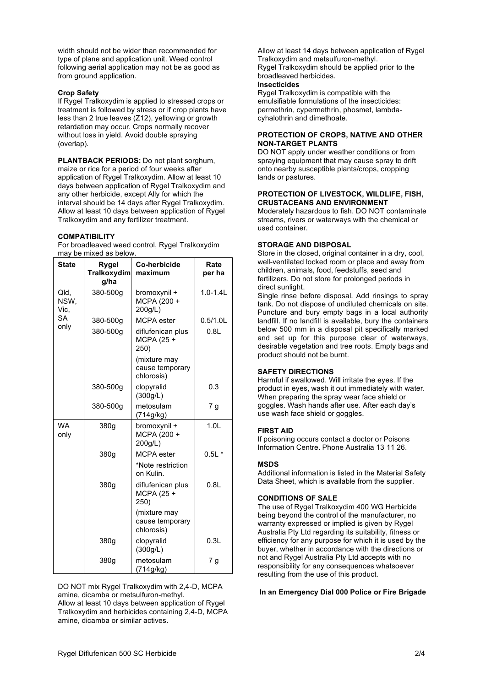width should not be wider than recommended for type of plane and application unit. Weed control following aerial application may not be as good as from ground application.

#### **Crop Safety**

If Rygel Tralkoxydim is applied to stressed crops or treatment is followed by stress or if crop plants have less than 2 true leaves (Z12), yellowing or growth retardation may occur. Crops normally recover without loss in yield. Avoid double spraying (overlap).

**PLANTBACK PERIODS:** Do not plant sorghum, maize or rice for a period of four weeks after application of Rygel Tralkoxydim. Allow at least 10 days between application of Rygel Tralkoxydim and any other herbicide, except Ally for which the interval should be 14 days after Rygel Tralkoxydim. Allow at least 10 days between application of Rygel Tralkoxydim and any fertilizer treatment.

#### **COMPATIBILITY**

For broadleaved weed control, Rygel Tralkoxydim may be mixed as below.

| <b>State</b>                       | Rygel<br><b>Tralkoxydim</b><br>g/ha | <b>Co-herbicide</b><br>maximum                | Rate<br>per ha   |
|------------------------------------|-------------------------------------|-----------------------------------------------|------------------|
| Qld,<br>NSW,<br>Vic.<br>SА<br>only | 380-500g                            | bromoxynil +<br>MCPA (200 +<br>200g/L)        | $1.0 - 1.4$ L    |
|                                    | 380-500g                            | MCPA ester                                    | $0.5/1.0$ L      |
|                                    | 380-500g                            | diflufenican plus<br>MCPA (25 +<br>250)       | 0.8L             |
|                                    |                                     | (mixture may<br>cause temporary<br>chlorosis) |                  |
|                                    | 380-500g                            | clopyralid<br>(300g/L)                        | 0.3              |
|                                    | 380-500g                            | metosulam<br>(714g/kg)                        | 7 g              |
| <b>WA</b><br>only                  | 380g                                | bromoxynil +<br>MCPA (200 +<br>200g/L)        | 1.0 <sub>L</sub> |
|                                    | 380g                                | <b>MCPA</b> ester                             | $0.5L*$          |
|                                    |                                     | *Note restriction<br>on Kulin.                |                  |
|                                    | 380g                                | diflufenican plus<br>MCPA (25 +<br>250)       | 0.8L             |
|                                    |                                     | (mixture may<br>cause temporary<br>chlorosis) |                  |
|                                    | 380g                                | clopyralid<br>(300g/L)                        | 0.3L             |
|                                    | 380g                                | metosulam<br>(714g/kg)                        | 7 <sub>g</sub>   |

DO NOT mix Rygel Tralkoxydim with 2,4-D, MCPA amine, dicamba or metsulfuron-methyl. Allow at least 10 days between application of Rygel Tralkoxydim and herbicides containing 2,4-D, MCPA amine, dicamba or similar actives.

Allow at least 14 days between application of Rygel Tralkoxydim and metsulfuron-methyl. Rygel Tralkoxydim should be applied prior to the broadleaved herbicides. **Insecticides**

Rygel Tralkoxydim is compatible with the emulsifiable formulations of the insecticides: permethrin, cypermethrin, phosmet, lambdacyhalothrin and dimethoate.

#### **PROTECTION OF CROPS, NATIVE AND OTHER NON-TARGET PLANTS**

DO NOT apply under weather conditions or from spraying equipment that may cause spray to drift onto nearby susceptible plants/crops, cropping lands or pastures.

#### **PROTECTION OF LIVESTOCK, WILDLIFE, FISH, CRUSTACEANS AND ENVIRONMENT**

Moderately hazardous to fish. DO NOT contaminate streams, rivers or waterways with the chemical or used container.

#### **STORAGE AND DISPOSAL**

Store in the closed, original container in a dry, cool, well-ventilated locked room or place and away from children, animals, food, feedstuffs, seed and fertilizers. Do not store for prolonged periods in direct sunlight.

Single rinse before disposal. Add rinsings to spray tank. Do not dispose of undiluted chemicals on site. Puncture and bury empty bags in a local authority landfill. If no landfill is available, bury the containers below 500 mm in a disposal pit specifically marked and set up for this purpose clear of waterways, desirable vegetation and tree roots. Empty bags and product should not be burnt.

#### **SAFETY DIRECTIONS**

Harmful if swallowed. Will irritate the eyes. If the product in eyes, wash it out immediately with water. When preparing the spray wear face shield or goggles. Wash hands after use. After each day's use wash face shield or goggles.

#### **FIRST AID**

If poisoning occurs contact a doctor or Poisons Information Centre. Phone Australia 13 11 26.

#### **MSDS**

Additional information is listed in the Material Safety Data Sheet, which is available from the supplier.

#### **CONDITIONS OF SALE**

The use of Rygel Tralkoxydim 400 WG Herbicide being beyond the control of the manufacturer, no warranty expressed or implied is given by Rygel Australia Pty Ltd regarding its suitability, fitness or efficiency for any purpose for which it is used by the buyer, whether in accordance with the directions or not and Rygel Australia Pty Ltd accepts with no responsibility for any consequences whatsoever resulting from the use of this product.

#### **In an Emergency Dial 000 Police or Fire Brigade**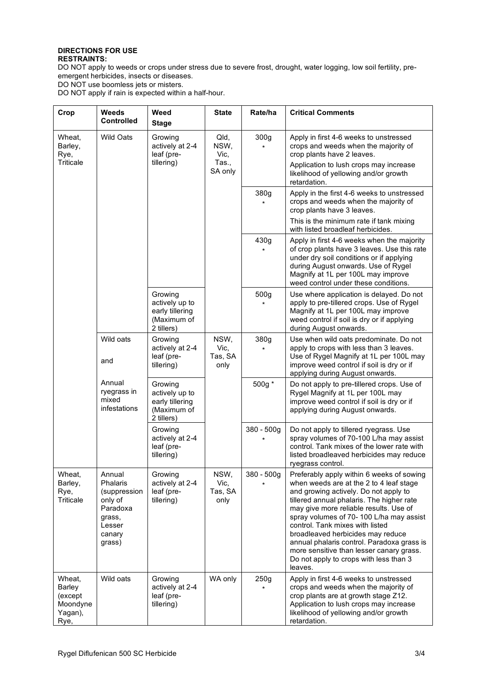#### **DIRECTIONS FOR USE RESTRAINTS:**

DO NOT apply to weeds or crops under stress due to severe frost, drought, water logging, low soil fertility, preemergent herbicides, insects or diseases.

DO NOT use boomless jets or misters.

DO NOT apply if rain is expected within a half-hour.

| Crop                                                       | <b>Weeds</b><br><b>Controlled</b>                                                                 | Weed<br><b>Stage</b>                                                      | <b>State</b>                             | Rate/ha      | <b>Critical Comments</b>                                                                                                                                                                                                                                                                                                                                                                                                                                                               |
|------------------------------------------------------------|---------------------------------------------------------------------------------------------------|---------------------------------------------------------------------------|------------------------------------------|--------------|----------------------------------------------------------------------------------------------------------------------------------------------------------------------------------------------------------------------------------------------------------------------------------------------------------------------------------------------------------------------------------------------------------------------------------------------------------------------------------------|
| Wheat.<br>Barley,<br>Rye,<br>Triticale                     | <b>Wild Oats</b>                                                                                  | Growing<br>actively at 2-4<br>leaf (pre-<br>tillering)                    | Qld,<br>NSW,<br>Vic,<br>Tas.,<br>SA only | 300g<br>¥    | Apply in first 4-6 weeks to unstressed<br>crops and weeds when the majority of<br>crop plants have 2 leaves.<br>Application to lush crops may increase<br>likelihood of yellowing and/or growth<br>retardation.                                                                                                                                                                                                                                                                        |
|                                                            |                                                                                                   |                                                                           |                                          | 380g         | Apply in the first 4-6 weeks to unstressed<br>crops and weeds when the majority of<br>crop plants have 3 leaves.                                                                                                                                                                                                                                                                                                                                                                       |
|                                                            |                                                                                                   |                                                                           |                                          |              | This is the minimum rate if tank mixing<br>with listed broadleaf herbicides.                                                                                                                                                                                                                                                                                                                                                                                                           |
|                                                            |                                                                                                   |                                                                           |                                          | 430g         | Apply in first 4-6 weeks when the majority<br>of crop plants have 3 leaves. Use this rate<br>under dry soil conditions or if applying<br>during August onwards. Use of Rygel<br>Magnify at 1L per 100L may improve<br>weed control under these conditions.                                                                                                                                                                                                                             |
|                                                            |                                                                                                   | Growing<br>actively up to<br>early tillering<br>(Maximum of<br>2 tillers) |                                          | 500g         | Use where application is delayed. Do not<br>apply to pre-tillered crops. Use of Rygel<br>Magnify at 1L per 100L may improve<br>weed control if soil is dry or if applying<br>during August onwards.                                                                                                                                                                                                                                                                                    |
|                                                            | Wild oats<br>and                                                                                  | Growing<br>actively at 2-4<br>leaf (pre-<br>tillering)                    | NSW,<br>Vic.<br>Tas, SA<br>only          | 380g         | Use when wild oats predominate. Do not<br>apply to crops with less than 3 leaves.<br>Use of Rygel Magnify at 1L per 100L may<br>improve weed control if soil is dry or if<br>applying during August onwards.                                                                                                                                                                                                                                                                           |
|                                                            | Annual<br>ryegrass in<br>mixed<br>infestations                                                    | Growing<br>actively up to<br>early tillering<br>(Maximum of<br>2 tillers) |                                          | 500g *       | Do not apply to pre-tillered crops. Use of<br>Rygel Magnify at 1L per 100L may<br>improve weed control if soil is dry or if<br>applying during August onwards.                                                                                                                                                                                                                                                                                                                         |
|                                                            |                                                                                                   | Growing<br>actively at 2-4<br>leaf (pre-<br>tillering)                    |                                          | $380 - 500g$ | Do not apply to tillered ryegrass. Use<br>spray volumes of 70-100 L/ha may assist<br>control. Tank mixes of the lower rate with<br>listed broadleaved herbicides may reduce<br>ryegrass control.                                                                                                                                                                                                                                                                                       |
| Wheat,<br>Barley,<br>Rye,<br>Triticale                     | Annual<br>Phalaris<br>(suppression<br>only of<br>Paradoxa<br>grass,<br>Lesser<br>canary<br>grass) | Growing<br>actively at 2-4<br>leaf (pre-<br>tillering)                    | NSW,<br>Vic,<br>Tas, SA<br>only          | 380 - 500g   | Preferably apply within 6 weeks of sowing<br>when weeds are at the 2 to 4 leaf stage<br>and growing actively. Do not apply to<br>tillered annual phalaris. The higher rate<br>may give more reliable results. Use of<br>spray volumes of 70-100 L/ha may assist<br>control. Tank mixes with listed<br>broadleaved herbicides may reduce<br>annual phalaris control. Paradoxa grass is<br>more sensitive than lesser canary grass.<br>Do not apply to crops with less than 3<br>leaves. |
| Wheat,<br>Barley<br>(except<br>Moondyne<br>Yagan),<br>Rye, | Wild oats                                                                                         | Growing<br>actively at 2-4<br>leaf (pre-<br>tillering)                    | WA only                                  | 250g         | Apply in first 4-6 weeks to unstressed<br>crops and weeds when the majority of<br>crop plants are at growth stage Z12.<br>Application to lush crops may increase<br>likelihood of yellowing and/or growth<br>retardation.                                                                                                                                                                                                                                                              |